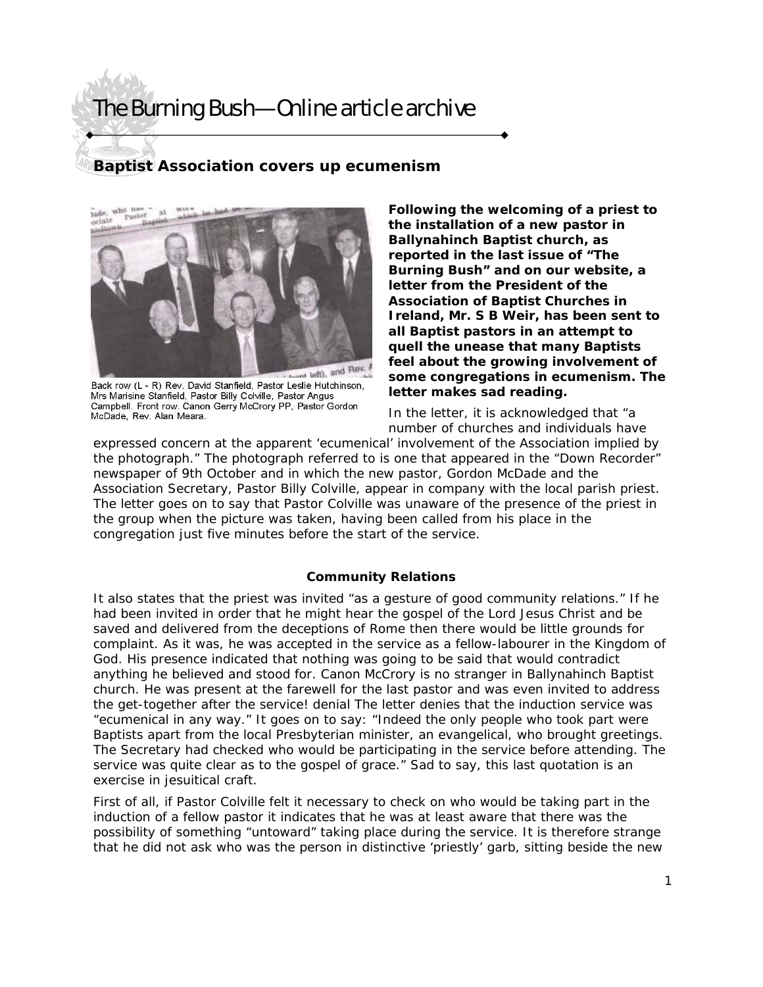# The Burning Bush—Online article archive

## **Baptist Association covers up ecumenism**



Back row (L - R) Rev. David Stanfield, Pastor Leslie Hutchinson, Mrs Marisine Stanfield, Pastor Billy Colville, Pastor Angus Campbell. Front row. Canon Gerry McCrory PP, Pastor Gordon McDade, Rev. Alan Meara.

**Following the welcoming of a priest to the installation of a new pastor in Ballynahinch Baptist church, as reported in the last issue of "The Burning Bush" and on our website, a letter from the President of the Association of Baptist Churches in Ireland, Mr. S B Weir, has been sent to all Baptist pastors in an attempt to quell the unease that many Baptists feel about the growing involvement of some congregations in ecumenism. The letter makes sad reading.** 

In the letter, it is acknowledged that "a number of churches and individuals have

expressed concern at the apparent 'ecumenical' involvement of the Association implied by the photograph." The photograph referred to is one that appeared in the "Down Recorder" newspaper of 9th October and in which the new pastor, Gordon McDade and the Association Secretary, Pastor Billy Colville, appear in company with the local parish priest. The letter goes on to say that Pastor Colville was unaware of the presence of the priest in the group when the picture was taken, having been called from his place in the congregation just five minutes before the start of the service.

### **Community Relations**

It also states that the priest was invited "as a gesture of good community relations." If he had been invited in order that he might hear the gospel of the Lord Jesus Christ and be saved and delivered from the deceptions of Rome then there would be little grounds for complaint. As it was, he was accepted in the service as a fellow-labourer in the Kingdom of God. His presence indicated that nothing was going to be said that would contradict anything he believed and stood for. Canon McCrory is no stranger in Ballynahinch Baptist church. He was present at the farewell for the last pastor and was even invited to address the get-together after the service! denial The letter denies that the induction service was "ecumenical in any way." It goes on to say: "Indeed the only people who took part were Baptists apart from the local Presbyterian minister, an evangelical, who brought greetings. The Secretary had checked who would be participating in the service before attending. The service was quite clear as to the gospel of grace." Sad to say, this last quotation is an exercise in jesuitical craft.

First of all, if Pastor Colville felt it necessary to check on who would be taking part in the induction of a fellow pastor it indicates that he was at least aware that there was the possibility of something "untoward" taking place during the service. It is therefore strange that he did not ask who was the person in distinctive 'priestly' garb, sitting beside the new